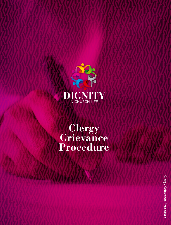

# **Clergy Grievance Procedure**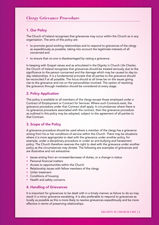# **Clergy Grievance Procedure**

# 1. Our Policy

The Church of Ireland recognises that grievances may occur within the Church as in any organisation. The aims of this policy are:

- to promote good working relationships and to respond to grievances of the clergy as expeditiously as possible, taking into account the legitimate interests of all concerned and
- to ensure that no-one is disadvantaged by raising a grievance.

In keeping with Gospel values and as articulated in the Dignity in Church Life Charter, the Church of Ireland recognises that grievances should be treated seriously due to the significance to the person concerned and the damage which may be caused to day-today relationships. It is a fundamental principle that all parties to the grievance should be reconciled if at all possible. The focus should at all times be on the issues giving rise to the grievance and not on the personalities involved. The option of resolving the grievance through mediation should be considered at every stage.

# 2. Policy Application

This policy is available to all members of the clergy except those employed under a Contract of Employment or Contract for Services. Where such Contracts exist, the grievance procedure under that Contract shall apply. In circumstances where there is no grievance procedure associated with the contract, then the grievance procedure as outlined in this policy may be adopted, subject to the agreement of all parties to that Contract.

### 3. Scope of the Policy

A grievance procedure should be used where a member of the clergy has a grievance arising from his or her conditions of service within the Church. There may be situations where it is more appropriate to deal with the grievance under another policy, for example, under a disciplinary procedure or under an anti-bullying and harassment policy. The Church therefore reserves the right to deal with the grievance under another policy as the circumstances may dictate. The following are examples of grievances and are illustrative and not exhaustive:

- Issues arising from an increase/decrease of duties, or a change in status
- Personal financial matters
- Access to opportunities within the Church
- Relationship issues with fellow members of the clergy
- Unfair treatment
- Conditions of housing
- Health and safety concerns.

#### 4. Handling of Grievances

It is important for grievances to be dealt with in a timely manner as failure to do so may result in a minor grievance escalating. It is also preferable to respond to grievances as locally as possible as this is more likely to resolve grievances expeditiously and be more effective in terms of preserving relationships.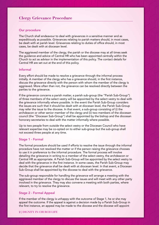# **Clergy Grievance Procedure**

#### Our procedure

The Church shall endeavour to deal with grievances in a sensitive manner and as expeditiously as possible. Grievances relating to parish matters should, in most cases, be dealt with at parish level. Grievances relating to duties of office should, in most cases, be dealt with at diocesan level.

The aggrieved member of the clergy, the parish or the diocese may at all times seek the guidance and advice of Central HR who has been appointed centrally within the Church to act as advisor in the implementation of this policy. The contact details for Central HR are set out at the end of this policy.

#### Informal

Every effort should be made to resolve a grievance through the informal process initially. A member of the clergy who has a grievance should, in the first instance, discuss the grievance directly with the person with whom the member of the clergy is aggrieved. More often than not, the grievance can be resolved directly between the parties to the grievance.

If the grievance concerns a parish matter, a parish sub-group (the "Parish Sub-Group") of three members of the select vestry will be appointed by the select vestry to deal with the grievance informally where possible. In the event the Parish Sub-Group considers the issues are such that it should be dealt with at diocesan level, the Parish Sub-Group may refer the issue to the diocese. In that event, a sub-group consisting of (i) the archdeacon or other senior member of the clergy and (ii) two members of the diocesan council (the "Diocesan Sub-Group") shall be appointed by the bishop and the diocesan honorary secretaries to deal with the matter informally where possible.

Up to two people from outside the select vestry or the Diocesan Council who have relevant expertise may be co-opted on to either sub-group but the sub-group shall not exceed three people at any time.

#### Stage 1 - Formal

The formal procedure should be used if efforts to resolve the issue through the informal procedure have not resolved the matter or if the person raising the grievance chooses to use it in preference to the informal procedure. The formal process will involve detailing the grievance in writing to a member of the select vestry, the archdeacon or Central HR as appropriate. A Parish Sub-Group will be appointed by the select vestry to deal with the grievance in the first instance. In some cases, the Parish Sub-Group may decide that the grievance shall be dealt with at diocesan level. In that event, a Diocesan Sub-Group shall be appointed by the diocese to deal with the grievance.

The sub-group responsible for handling the grievance will arrange a meeting with the aggrieved member of the clergy to discuss the issues and will meet with any other party involved in the grievance. They may also convene a meeting with both parties, where relevant, to try to resolve the grievance.

#### Stage 2 - Formal Appeal

If the member of the clergy is unhappy with the outcome of Stage 1, he or she may appeal the outcome. If the appeal is against a decision made by a Parish Sub-Group in the first instance, an appeal may be made to the diocese and the diocese will appoint